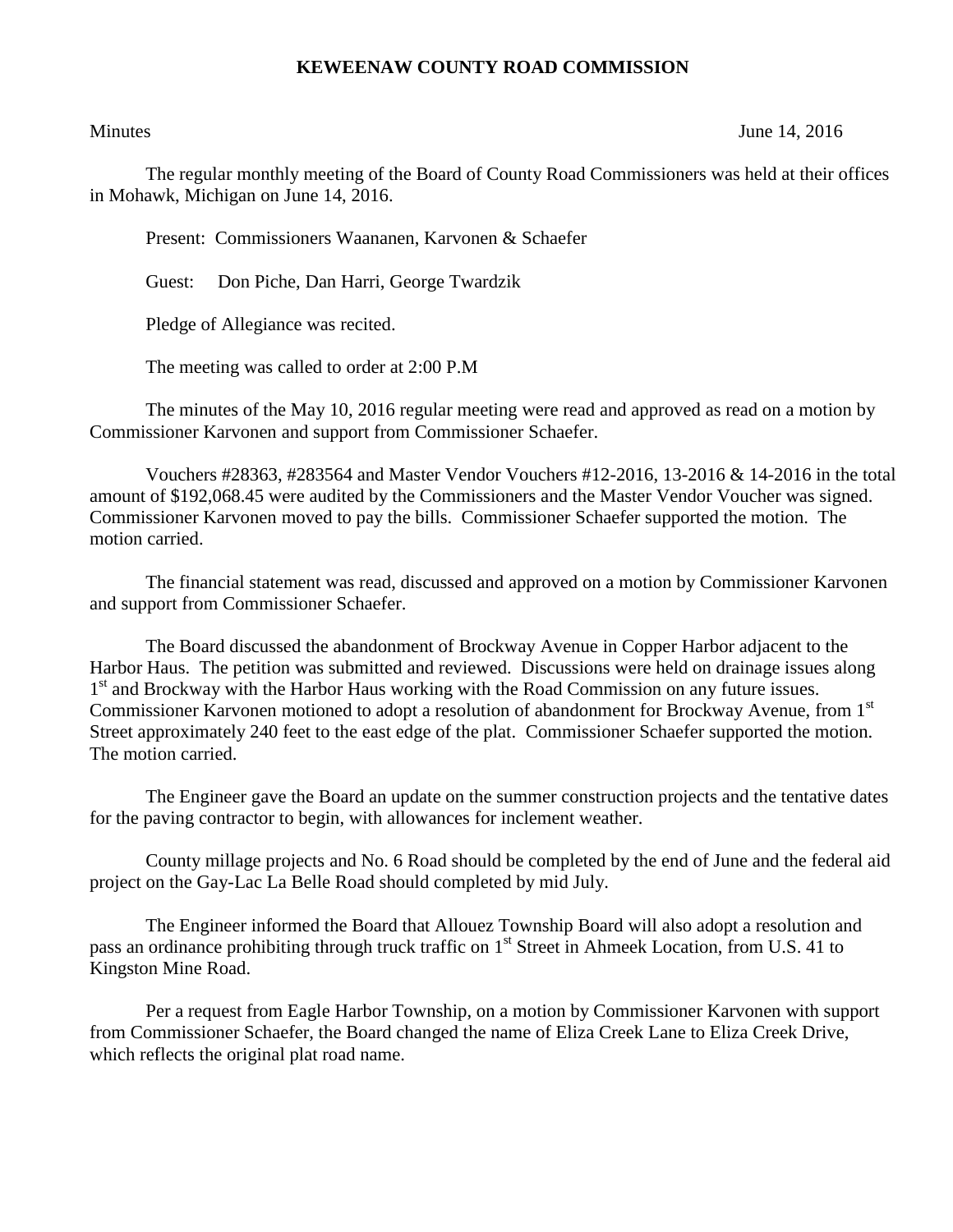## **KEWEENAW COUNTY ROAD COMMISSION**

Minutes June 14, 2016

The regular monthly meeting of the Board of County Road Commissioners was held at their offices in Mohawk, Michigan on June 14, 2016.

Present: Commissioners Waananen, Karvonen & Schaefer

Guest: Don Piche, Dan Harri, George Twardzik

Pledge of Allegiance was recited.

The meeting was called to order at 2:00 P.M

The minutes of the May 10, 2016 regular meeting were read and approved as read on a motion by Commissioner Karvonen and support from Commissioner Schaefer.

Vouchers #28363, #283564 and Master Vendor Vouchers #12-2016, 13-2016 & 14-2016 in the total amount of \$192,068.45 were audited by the Commissioners and the Master Vendor Voucher was signed. Commissioner Karvonen moved to pay the bills. Commissioner Schaefer supported the motion. The motion carried.

The financial statement was read, discussed and approved on a motion by Commissioner Karvonen and support from Commissioner Schaefer.

The Board discussed the abandonment of Brockway Avenue in Copper Harbor adjacent to the Harbor Haus. The petition was submitted and reviewed. Discussions were held on drainage issues along 1<sup>st</sup> and Brockway with the Harbor Haus working with the Road Commission on any future issues. Commissioner Karvonen motioned to adopt a resolution of abandonment for Brockway Avenue, from 1<sup>st</sup> Street approximately 240 feet to the east edge of the plat. Commissioner Schaefer supported the motion. The motion carried.

The Engineer gave the Board an update on the summer construction projects and the tentative dates for the paving contractor to begin, with allowances for inclement weather.

County millage projects and No. 6 Road should be completed by the end of June and the federal aid project on the Gay-Lac La Belle Road should completed by mid July.

The Engineer informed the Board that Allouez Township Board will also adopt a resolution and pass an ordinance prohibiting through truck traffic on 1<sup>st</sup> Street in Ahmeek Location, from U.S. 41 to Kingston Mine Road.

Per a request from Eagle Harbor Township, on a motion by Commissioner Karvonen with support from Commissioner Schaefer, the Board changed the name of Eliza Creek Lane to Eliza Creek Drive, which reflects the original plat road name.